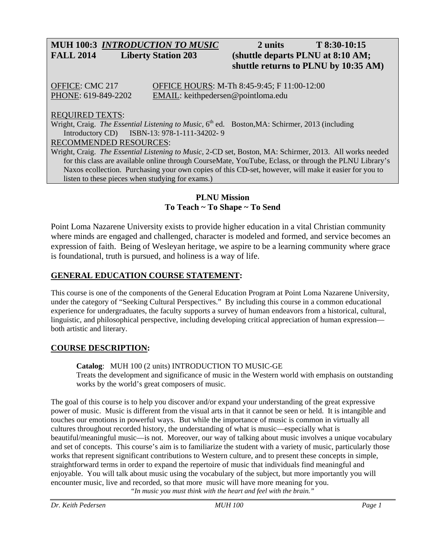# **MUH 100:3** *INTRODUCTION TO MUSIC* **2 units T 8:30-10:15 FALL 2014 Liberty Station 203 (shuttle departs PLNU at 8:10 AM;**

# **shuttle returns to PLNU by 10:35 AM)**

OFFICE: CMC 217 OFFICE HOURS: M-Th 8:45-9:45; F 11:00-12:00 PHONE: 619-849-2202 EMAIL: keithpedersen@pointloma.edu

## REQUIRED TEXTS:

Wright, Craig. *The Essential Listening to Music*, 6<sup>th</sup> ed. Boston, MA: Schirmer, 2013 (including Introductory CD) ISBN-13: 978-1-111-34202- 9

#### RECOMMENDED RESOURCES:

Wright, Craig. *The Essential Listening to Music,* 2-CD set, Boston, MA: Schirmer, 2013. All works needed for this class are available online through CourseMate, YouTube, Eclass, or through the PLNU Library's Naxos ecollection. Purchasing your own copies of this CD-set, however, will make it easier for you to listen to these pieces when studying for exams.)

#### **PLNU Mission To Teach ~ To Shape ~ To Send**

Point Loma Nazarene University exists to provide higher education in a vital Christian community where minds are engaged and challenged, character is modeled and formed, and service becomes an expression of faith. Being of Wesleyan heritage, we aspire to be a learning community where grace is foundational, truth is pursued, and holiness is a way of life.

# **GENERAL EDUCATION COURSE STATEMENT:**

This course is one of the components of the General Education Program at Point Loma Nazarene University, under the category of "Seeking Cultural Perspectives." By including this course in a common educational experience for undergraduates, the faculty supports a survey of human endeavors from a historical, cultural, linguistic, and philosophical perspective, including developing critical appreciation of human expression both artistic and literary.

# **COURSE DESCRIPTION:**

**Catalog**: MUH 100 (2 units) INTRODUCTION TO MUSIC-GE Treats the development and significance of music in the Western world with emphasis on outstanding works by the world's great composers of music.

The goal of this course is to help you discover and/or expand your understanding of the great expressive power of music. Music is different from the visual arts in that it cannot be seen or held. It is intangible and touches our emotions in powerful ways. But while the importance of music is common in virtually all cultures throughout recorded history, the understanding of what is music—especially what is beautiful/meaningful music—is not. Moreover, our way of talking about music involves a unique vocabulary and set of concepts. This course's aim is to familiarize the student with a variety of music, particularly those works that represent significant contributions to Western culture, and to present these concepts in simple, straightforward terms in order to expand the repertoire of music that individuals find meaningful and enjoyable. You will talk about music using the vocabulary of the subject, but more importantly you will encounter music, live and recorded, so that more music will have more meaning for you. *"In music you must think with the heart and feel with the brain."*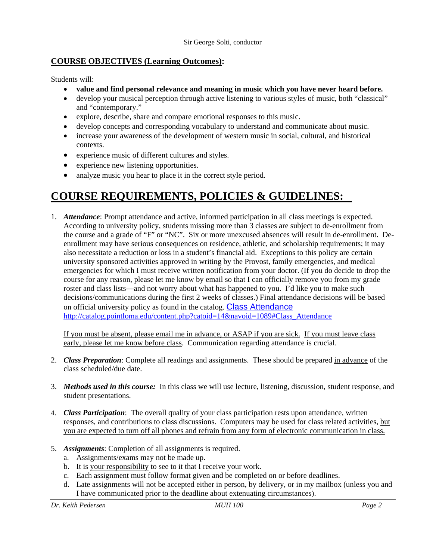## **COURSE OBJECTIVES (Learning Outcomes):**

Students will:

- **value and find personal relevance and meaning in music which you have never heard before.**
- develop your musical perception through active listening to various styles of music, both "classical" and "contemporary."
- explore, describe, share and compare emotional responses to this music.
- develop concepts and corresponding vocabulary to understand and communicate about music.
- increase your awareness of the development of western music in social, cultural, and historical contexts.
- experience music of different cultures and styles.
- experience new listening opportunities.
- analyze music you hear to place it in the correct style period.

# **COURSE REQUIREMENTS, POLICIES & GUIDELINES:**

1. *Attendance*: Prompt attendance and active, informed participation in all class meetings is expected. According to university policy, students missing more than 3 classes are subject to de-enrollment from the course and a grade of "F" or "NC". Six or more unexcused absences will result in de-enrollment. Deenrollment may have serious consequences on residence, athletic, and scholarship requirements; it may also necessitate a reduction or loss in a student's financial aid. Exceptions to this policy are certain university sponsored activities approved in writing by the Provost, family emergencies, and medical emergencies for which I must receive written notification from your doctor. (If you do decide to drop the course for any reason, please let me know by email so that I can officially remove you from my grade roster and class lists—and not worry about what has happened to you. I'd like you to make such decisions/communications during the first 2 weeks of classes.) Final attendance decisions will be based on official university policy as found in the catalog. Class Attendance http://catalog.pointloma.edu/content.php?catoid=14&navoid=1089#Class\_Attendance

If you must be absent, please email me in advance, or ASAP if you are sick. If you must leave class early, please let me know before class. Communication regarding attendance is crucial.

- 2. *Class Preparation*: Complete all readings and assignments. These should be prepared in advance of the class scheduled/due date.
- 3. *Methods used in this course:* In this class we will use lecture, listening, discussion, student response, and student presentations.
- 4. *Class Participation*: The overall quality of your class participation rests upon attendance, written responses, and contributions to class discussions. Computers may be used for class related activities, but you are expected to turn off all phones and refrain from any form of electronic communication in class.
- 5. *Assignments*: Completion of all assignments is required.
	- a. Assignments/exams may not be made up.
	- b. It is your responsibility to see to it that I receive your work.
	- c. Each assignment must follow format given and be completed on or before deadlines.
	- d. Late assignments will not be accepted either in person, by delivery, or in my mailbox (unless you and I have communicated prior to the deadline about extenuating circumstances).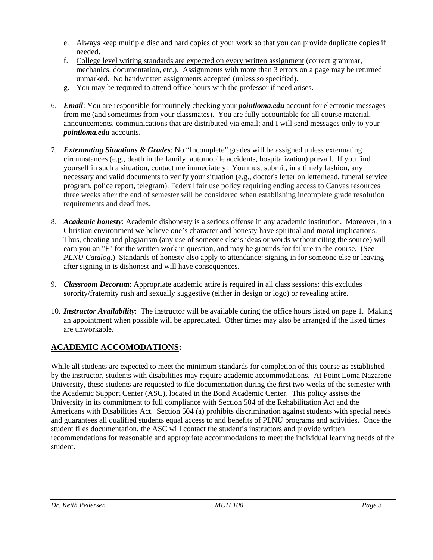- e. Always keep multiple disc and hard copies of your work so that you can provide duplicate copies if needed.
- f. College level writing standards are expected on every written assignment (correct grammar, mechanics, documentation, etc.). Assignments with more than 3 errors on a page may be returned unmarked. No handwritten assignments accepted (unless so specified).
- g. You may be required to attend office hours with the professor if need arises.
- 6. *Email*: You are responsible for routinely checking your *pointloma.edu* account for electronic messages from me (and sometimes from your classmates). You are fully accountable for all course material, announcements, communications that are distributed via email; and I will send messages only to your *pointloma.edu* accounts.
- 7. *Extenuating Situations & Grades*: No "Incomplete" grades will be assigned unless extenuating circumstances (e.g., death in the family, automobile accidents, hospitalization) prevail. If you find yourself in such a situation, contact me immediately. You must submit, in a timely fashion, any necessary and valid documents to verify your situation (e.g., doctor's letter on letterhead, funeral service program, police report, telegram). Federal fair use policy requiring ending access to Canvas resources three weeks after the end of semester will be considered when establishing incomplete grade resolution requirements and deadlines.
- 8. *Academic honesty*: Academic dishonesty is a serious offense in any academic institution. Moreover, in a Christian environment we believe one's character and honesty have spiritual and moral implications. Thus, cheating and plagiarism (any use of someone else's ideas or words without citing the source) will earn you an "F" for the written work in question, and may be grounds for failure in the course. (See *PLNU Catalog.*) Standards of honesty also apply to attendance: signing in for someone else or leaving after signing in is dishonest and will have consequences.
- 9**.** *Classroom Decorum*: Appropriate academic attire is required in all class sessions: this excludes sorority/fraternity rush and sexually suggestive (either in design or logo) or revealing attire.
- 10. *Instructor Availability*: The instructor will be available during the office hours listed on page 1. Making an appointment when possible will be appreciated. Other times may also be arranged if the listed times are unworkable.

# **ACADEMIC ACCOMODATIONS:**

While all students are expected to meet the minimum standards for completion of this course as established by the instructor, students with disabilities may require academic accommodations. At Point Loma Nazarene University, these students are requested to file documentation during the first two weeks of the semester with the Academic Support Center (ASC), located in the Bond Academic Center. This policy assists the University in its commitment to full compliance with Section 504 of the Rehabilitation Act and the Americans with Disabilities Act. Section 504 (a) prohibits discrimination against students with special needs and guarantees all qualified students equal access to and benefits of PLNU programs and activities. Once the student files documentation, the ASC will contact the student's instructors and provide written recommendations for reasonable and appropriate accommodations to meet the individual learning needs of the student.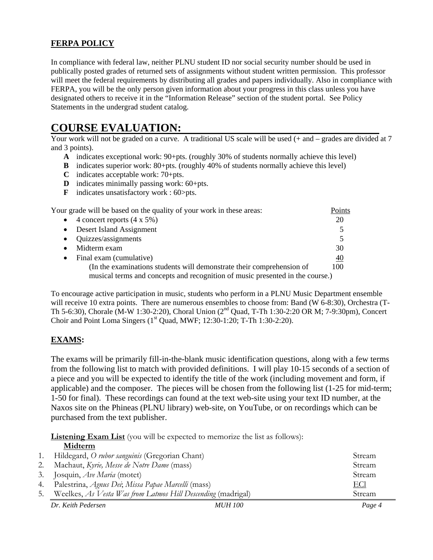# **FERPA POLICY**

In compliance with federal law, neither PLNU student ID nor social security number should be used in publically posted grades of returned sets of assignments without student written permission. This professor will meet the federal requirements by distributing all grades and papers individually. Also in compliance with FERPA, you will be the only person given information about your progress in this class unless you have designated others to receive it in the "Information Release" section of the student portal. See Policy Statements in the undergrad student catalog.

# **COURSE EVALUATION:**

Your work will not be graded on a curve. A traditional US scale will be used (+ and – grades are divided at 7 and 3 points).

- **A** indicates exceptional work: 90+pts. (roughly 30% of students normally achieve this level)
- **B** indicates superior work: 80+pts. (roughly 40% of students normally achieve this level)
- **C** indicates acceptable work: 70+pts.
- **D** indicates minimally passing work: 60+pts.
- **F** indicates unsatisfactory work : 60>pts.

| Your grade will be based on the quality of your work in these areas:          | Points          |  |
|-------------------------------------------------------------------------------|-----------------|--|
| 4 concert reports $(4 \times 5\%)$<br>$\bullet$                               | 20              |  |
| Desert Island Assignment<br>$\bullet$                                         | 5               |  |
| Quizzes/assignments<br>$\bullet$                                              |                 |  |
| Midterm exam                                                                  | 30              |  |
| Final exam (cumulative)<br>$\bullet$                                          | $\overline{40}$ |  |
| (In the examinations students will demonstrate their comprehension of         | 100             |  |
| musical terms and concepts and recognition of music presented in the course.) |                 |  |

To encourage active participation in music, students who perform in a PLNU Music Department ensemble will receive 10 extra points. There are numerous ensembles to choose from: Band (W 6-8:30), Orchestra (T-Th 5-6:30), Chorale (M-W 1:30-2:20), Choral Union (2nd Quad, T-Th 1:30-2:20 OR M; 7-9:30pm), Concert Choir and Point Loma Singers  $(1<sup>st</sup> Quad, MWF; 12:30-1:20; T-Th 1:30-2:20)$ .

# **EXAMS:**

The exams will be primarily fill-in-the-blank music identification questions, along with a few terms from the following list to match with provided definitions. I will play 10-15 seconds of a section of a piece and you will be expected to identify the title of the work (including movement and form, if applicable) and the composer. The pieces will be chosen from the following list (1-25 for mid-term; 1-50 for final). These recordings can found at the text web-site using your text ID number, at the Naxos site on the Phineas (PLNU library) web-site, on YouTube, or on recordings which can be purchased from the text publisher.

**Listening Exam List** (you will be expected to memorize the list as follows):  **Midterm** 

|    | www.ciii                                                     |                |            |
|----|--------------------------------------------------------------|----------------|------------|
| 1. | Hildegard, O rubor sanguinis (Gregorian Chant)               |                | Stream     |
| 2. | Machaut, Kyrie, Messe de Notre Dame (mass)                   |                | Stream     |
| 3. | Josquin, <i>Ave Maria</i> (motet)                            |                | Stream     |
|    | 4. Palestrina, Agnus Dei; Missa Papae Marcelli (mass)        |                | <u>ECI</u> |
| 5. | Weelkes, As Vesta Was from Latmos Hill Descending (madrigal) |                | Stream     |
|    | Dr. Keith Pedersen                                           | <i>MUH 100</i> | Page 4     |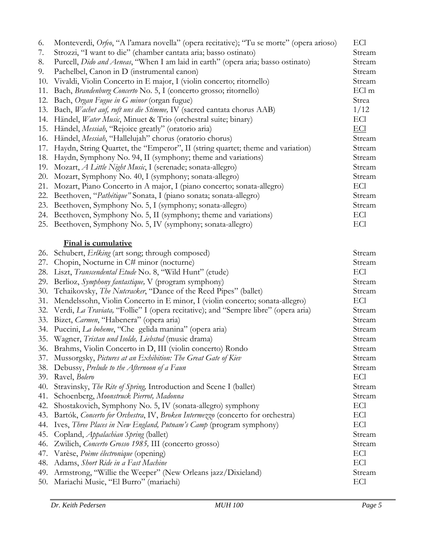| 6.  | Monteverdi, Orfeo, "A l'amara novella" (opera recitative); "Tu se morte" (opera arioso) | ECI        |
|-----|-----------------------------------------------------------------------------------------|------------|
| 7.  | Strozzi, "I want to die" (chamber cantata aria; basso ostinato)                         | Stream     |
| 8.  | Purcell, Dido and Aeneas, "When I am laid in earth" (opera aria; basso ostinato)        | Stream     |
| 9.  | Pachelbel, Canon in D (instrumental canon)                                              | Stream     |
| 10. | Vivaldi, Violin Concerto in E major, I (violin concerto; ritornello)                    | Stream     |
| 11. | Bach, Brandenburg Concerto No. 5, I (concerto grosso; ritornello)                       | ECl m      |
| 12. | Bach, Organ Fugue in G minor (organ fugue)                                              | Strea      |
| 13. | Bach, Wachet auf, ruft uns die Stimme, IV (sacred cantata chorus AAB)                   | 1/12       |
| 14. | Händel, Water Music, Minuet & Trio (orchestral suite; binary)                           | ECI        |
| 15. | Händel, <i>Messiah</i> , "Rejoice greatly" (oratorio aria)                              | <b>ECl</b> |
| 16. | Händel, Messiah, "Hallelujah" chorus (oratorio chorus)                                  | Stream     |
| 17. | Haydn, String Quartet, the "Emperor", II (string quartet; theme and variation)          | Stream     |
| 18. | Haydn, Symphony No. 94, II (symphony; theme and variations)                             | Stream     |
| 19. | Mozart, A Little Night Music, I (serenade; sonata-allegro)                              | Stream     |
| 20. | Mozart, Symphony No. 40, I (symphony; sonata-allegro)                                   | Stream     |
| 21. | Mozart, Piano Concerto in A major, I (piano concerto; sonata-allegro)                   | ECI        |
| 22. | Beethoven, "Pathétique" Sonata, I (piano sonata; sonata-allegro)                        | Stream     |
| 23. | Beethoven, Symphony No. 5, I (symphony; sonata-allegro)                                 | Stream     |
|     | 24. Beethoven, Symphony No. 5, II (symphony; theme and variations)                      | ECI        |
|     | 25. Beethoven, Symphony No. 5, IV (symphony; sonata-allegro)                            | ECI        |
|     |                                                                                         |            |
|     | <b>Final is cumulative</b>                                                              |            |
| 26. | Schubert, Erlking (art song; through composed)                                          | Stream     |
| 27. | Chopin, Nocturne in C# minor (nocturne)                                                 | Stream     |
| 28. | Liszt, Transcendental Etude No. 8, "Wild Hunt" (etude)                                  | ECI        |
| 29. | Berlioz, Symphony fantastique, V (program symphony)                                     | Stream     |
| 30. | Tchaikovsky, The Nutcracker, "Dance of the Reed Pipes" (ballet)                         | Stream     |
| 31. | Mendelssohn, Violin Concerto in E minor, I (violin concerto; sonata-allegro)            | ECI        |
| 32. | Verdi, La Traviata, "Follie" I (opera recitative); and "Sempre libre" (opera aria)      | Stream     |
| 33. | Bizet, Carmen, "Habenera" (opera aria)                                                  | Stream     |
|     | 34. Puccini, La boheme, "Che gelida manina" (opera aria)                                | Stream     |
| 35. | Wagner, Tristan und Isolde, Liebstod (music drama)                                      | Stream     |
|     | 36. Brahms, Violin Concerto in D, III (violin concerto) Rondo                           | Stream     |
|     | 37. Mussorgsky, Pictures at an Exhibition: The Great Gate of Kiev                       | Stream     |
| 38. | Debussy, Prelude to the Afternoon of a Faun                                             | Stream     |
| 39. | Ravel, Bolero                                                                           | ECI        |
| 40. | Stravinsky, The Rite of Spring, Introduction and Scene I (ballet)                       | Stream     |
| 41. | Schoenberg, Moonstruck Pierrot, Madonna                                                 | Stream     |
| 42. | Shostakovich, Symphony No. 5, IV (sonata-allegro) symphony                              | ECl        |
| 43. | Bartók, Concerto for Orchestra, IV, Broken Intermezzo (concerto for orchestra)          | ECl        |
| 44. | Ives, Three Places in New England, Putnam's Camp (program symphony)                     | ECI        |
| 45. | Copland, Appalachian Spring (ballet)                                                    | Stream     |
| 46. | Zwilich, Concerto Grosso 1985, III (concerto grosso)                                    | Stream     |
| 47. | Varèse, Poème électronique (opening)                                                    | ECI        |
| 48. | Adams, Short Ride in a Fast Machine                                                     | ECI        |
| 49. | Armstrong, "Willie the Weeper" (New Orleans jazz/Dixieland)                             | Stream     |
| 50. | Mariachi Music, "El Burro" (mariachi)                                                   | ECI        |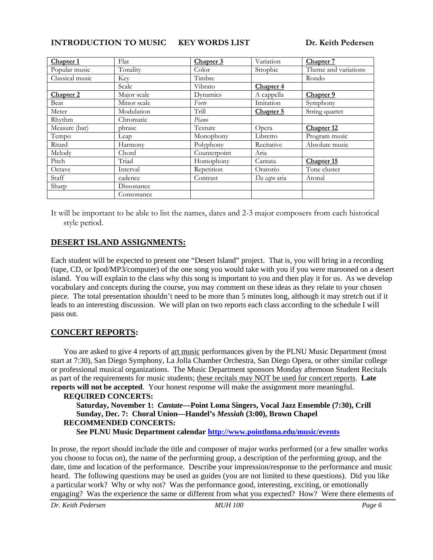**INTRODUCTION TO MUSIC KEY WORDS LIST Dr. Keith Pedersen** 

| Chapter 1            | Flat        | Chapter 3    | Variation            | Chapter 7            |
|----------------------|-------------|--------------|----------------------|----------------------|
| Popular music        | Tonality    | Color        | Strophic             | Theme and variations |
| Classical music      | <b>Key</b>  | Timbre       |                      | Rondo                |
|                      | Scale       | Vibrato      | Chapter <sub>4</sub> |                      |
| Chapter <sub>2</sub> | Major scale | Dynamics     | A cappella           | Chapter 9            |
| Beat                 | Minor scale | Forte        | Imitation            | Symphony             |
| Meter                | Modulation  | Trill        | Chapter 5            | String quartet       |
| Rhythm               | Chromatic   | Piano        |                      |                      |
| Measure (bar)        | phrase      | Texture      | Opera                | Chapter 12           |
| Tempo                | Leap        | Monophony    | Libretto             | Program music        |
| Ritard               | Harmony     | Polyphony    | Recitative           | Absolute music       |
| Melody               | Chord       | Counterpoint | Aria                 |                      |
| Pitch                | Triad       | Homophony    | Cantata              | Chapter 15           |
| Octave               | Interval    | Repetition   | Oratorio             | Tone cluster         |
| Staff                | cadence     | Contrast     | Da capo aria         | Atonal               |
| Sharp                | Dissonance  |              |                      |                      |
|                      | Consonance  |              |                      |                      |

It will be important to be able to list the names, dates and 2-3 major composers from each historical style period.

# **DESERT ISLAND ASSIGNMENTS:**

Each student will be expected to present one "Desert Island" project. That is, you will bring in a recording (tape, CD, or Ipod/MP3/computer) of the one song you would take with you if you were marooned on a desert island. You will explain to the class why this song is important to you and then play it for us. As we develop vocabulary and concepts during the course, you may comment on these ideas as they relate to your chosen piece. The total presentation shouldn't need to be more than 5 minutes long, although it may stretch out if it leads to an interesting discussion. We will plan on two reports each class according to the schedule I will pass out.

# **CONCERT REPORTS:**

You are asked to give 4 reports of art music performances given by the PLNU Music Department (most start at 7:30), San Diego Symphony, La Jolla Chamber Orchestra, San Diego Opera, or other similar college or professional musical organizations. The Music Department sponsors Monday afternoon Student Recitals as part of the requirements for music students; these recitals may NOT be used for concert reports. **Late reports will not be accepted**. Your honest response will make the assignment more meaningful.

#### **REQUIRED CONCERTS: Saturday, November 1:** *Cantate***—Point Loma Singers, Vocal Jazz Ensemble (7:30), Crill Sunday, Dec. 7: Choral Union—Handel's** *Messiah* **(3:00), Brown Chapel RECOMMENDED CONCERTS: See PLNU Music Department calendar http://www.pointloma.edu/music/events**

In prose, the report should include the title and composer of major works performed (or a few smaller works you choose to focus on), the name of the performing group, a description of the performing group, and the date, time and location of the performance. Describe your impression/response to the performance and music heard. The following questions may be used as guides (you are not limited to these questions). Did you like a particular work? Why or why not? Was the performance good, interesting, exciting, or emotionally engaging? Was the experience the same or different from what you expected? How? Were there elements of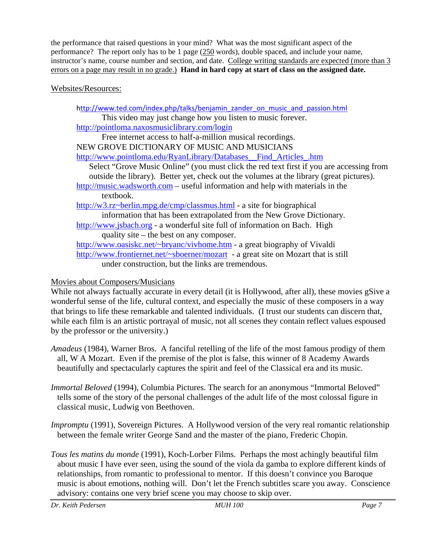the performance that raised questions in your mind? What was the most significant aspect of the performance? The report only has to be 1 page (250 words), double spaced, and include your name, instructor's name, course number and section, and date. College writing standards are expected (more than 3 errors on a page may result in no grade.) **Hand in hard copy at start of class on the assigned date.**

## Websites/Resources:

http://www.ted.com/index.php/talks/benjamin\_zander\_on\_music\_and\_passion.html This video may just change how you listen to music forever. http://pointloma.naxosmusiclibrary.com/login Free internet access to half-a-million musical recordings. NEW GROVE DICTIONARY OF MUSIC AND MUSICIANS http://www.pointloma.edu/RyanLibrary/Databases\_\_Find\_Articles\_.htm Select "Grove Music Online" (you must click the red text first if you are accessing from outside the library). Better yet, check out the volumes at the library (great pictures). http://music.wadsworth.com – useful information and help with materials in the textbook. http://w3.rz~berlin.mpg.de/cmp/classmus.html - a site for biographical information that has been extrapolated from the New Grove Dictionary*.* http://www.jsbach.org - a wonderful site full of information on Bach. High quality site – the best on any composer. http://www.oasiskc.net/~bryanc/vivhome.htm - a great biography of Vivaldi http://www.frontiernet.net/~sboerner/mozart - a great site on Mozart that is still under construction, but the links are tremendous.

# Movies about Composers/Musicians

While not always factually accurate in every detail (it is Hollywood, after all), these movies gSive a wonderful sense of the life, cultural context, and especially the music of these composers in a way that brings to life these remarkable and talented individuals. (I trust our students can discern that, while each film is an artistic portrayal of music, not all scenes they contain reflect values espoused by the professor or the university.)

- *Amadeus* (1984), Warner Bros. A fanciful retelling of the life of the most famous prodigy of them all, W A Mozart. Even if the premise of the plot is false, this winner of 8 Academy Awards beautifully and spectacularly captures the spirit and feel of the Classical era and its music.
- *Immortal Beloved* (1994), Columbia Pictures. The search for an anonymous "Immortal Beloved" tells some of the story of the personal challenges of the adult life of the most colossal figure in classical music, Ludwig von Beethoven.
- *Impromptu* (1991), Sovereign Pictures. A Hollywood version of the very real romantic relationship between the female writer George Sand and the master of the piano, Frederic Chopin.
- *Tous les matins du monde* (1991), Koch-Lorber Films. Perhaps the most achingly beautiful film about music I have ever seen, using the sound of the viola da gamba to explore different kinds of relationships, from romantic to professional to mentor. If this doesn't convince you Baroque music is about emotions, nothing will. Don't let the French subtitles scare you away. Conscience advisory: contains one very brief scene you may choose to skip over.

*Dr. Keith Pedersen MUH 100 Page 7*